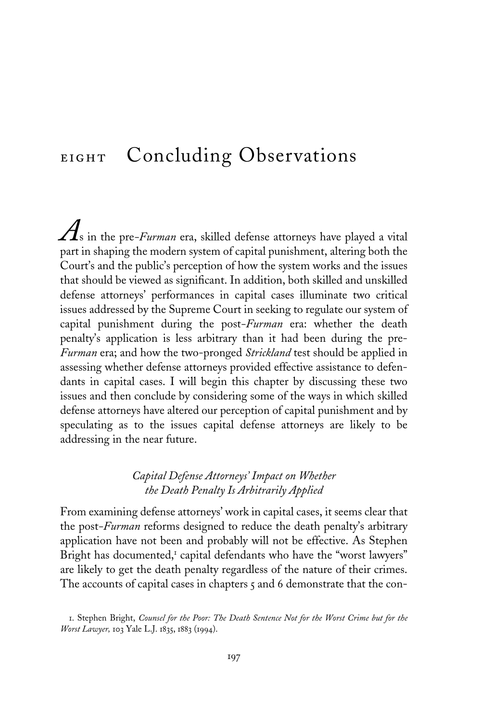# eight Concluding Observations

 $A$ s in the pre*-Furman* era, skilled defense attorneys have played a vital part in shaping the modern system of capital punishment, altering both the Court's and the public's perception of how the system works and the issues that should be viewed as significant. In addition, both skilled and unskilled defense attorneys' performances in capital cases illuminate two critical issues addressed by the Supreme Court in seeking to regulate our system of capital punishment during the post*-Furman* era: whether the death penalty's application is less arbitrary than it had been during the pre-*Furman* era; and how the two-pronged *Strickland* test should be applied in assessing whether defense attorneys provided effective assistance to defendants in capital cases. I will begin this chapter by discussing these two issues and then conclude by considering some of the ways in which skilled defense attorneys have altered our perception of capital punishment and by speculating as to the issues capital defense attorneys are likely to be addressing in the near future.

## *Capital Defense Attorneys' Impact on Whether the Death Penalty Is Arbitrarily Applied*

From examining defense attorneys' work in capital cases, it seems clear that the post*-Furman* reforms designed to reduce the death penalty's arbitrary application have not been and probably will not be effective. As Stephen Bright has documented,<sup>1</sup> capital defendants who have the "worst lawyers" are likely to get the death penalty regardless of the nature of their crimes. The accounts of capital cases in chapters 5 and 6 demonstrate that the con-

<sup>1.</sup> Stephen Bright, *Counsel for the Poor: The Death Sentence Not for the Worst Crime but for the Worst Lawyer,* 103 Yale L.J. 1835, 1883 (1994).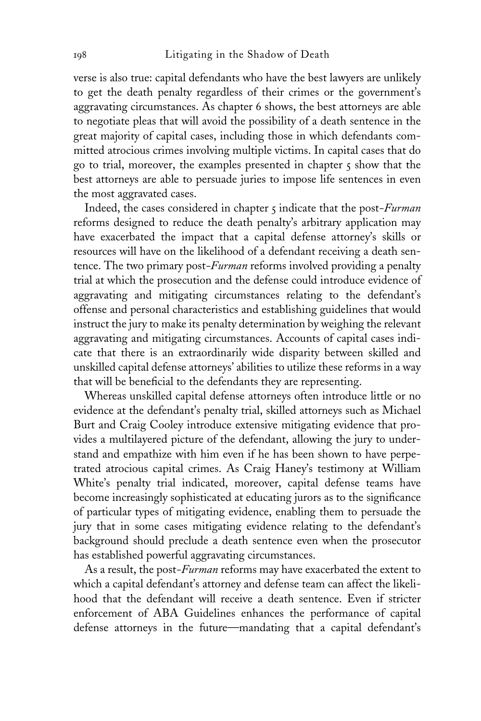verse is also true: capital defendants who have the best lawyers are unlikely to get the death penalty regardless of their crimes or the government's aggravating circumstances. As chapter 6 shows, the best attorneys are able to negotiate pleas that will avoid the possibility of a death sentence in the great majority of capital cases, including those in which defendants committed atrocious crimes involving multiple victims. In capital cases that do go to trial, moreover, the examples presented in chapter 5 show that the best attorneys are able to persuade juries to impose life sentences in even the most aggravated cases.

Indeed, the cases considered in chapter 5 indicate that the post*-Furman* reforms designed to reduce the death penalty's arbitrary application may have exacerbated the impact that a capital defense attorney's skills or resources will have on the likelihood of a defendant receiving a death sentence. The two primary post*-Furman* reforms involved providing a penalty trial at which the prosecution and the defense could introduce evidence of aggravating and mitigating circumstances relating to the defendant's offense and personal characteristics and establishing guidelines that would instruct the jury to make its penalty determination by weighing the relevant aggravating and mitigating circumstances. Accounts of capital cases indicate that there is an extraordinarily wide disparity between skilled and unskilled capital defense attorneys' abilities to utilize these reforms in a way that will be beneficial to the defendants they are representing.

Whereas unskilled capital defense attorneys often introduce little or no evidence at the defendant's penalty trial, skilled attorneys such as Michael Burt and Craig Cooley introduce extensive mitigating evidence that provides a multilayered picture of the defendant, allowing the jury to understand and empathize with him even if he has been shown to have perpetrated atrocious capital crimes. As Craig Haney's testimony at William White's penalty trial indicated, moreover, capital defense teams have become increasingly sophisticated at educating jurors as to the significance of particular types of mitigating evidence, enabling them to persuade the jury that in some cases mitigating evidence relating to the defendant's background should preclude a death sentence even when the prosecutor has established powerful aggravating circumstances.

As a result, the post*-Furman* reforms may have exacerbated the extent to which a capital defendant's attorney and defense team can affect the likelihood that the defendant will receive a death sentence. Even if stricter enforcement of ABA Guidelines enhances the performance of capital defense attorneys in the future—mandating that a capital defendant's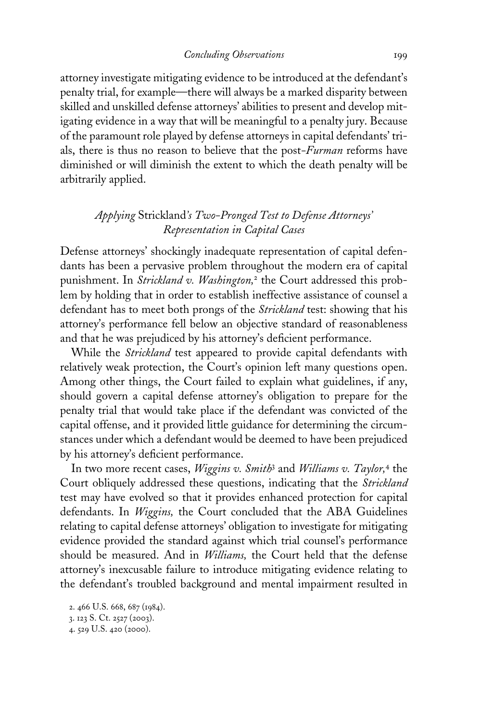attorney investigate mitigating evidence to be introduced at the defendant's penalty trial, for example—there will always be a marked disparity between skilled and unskilled defense attorneys' abilities to present and develop mitigating evidence in a way that will be meaningful to a penalty jury. Because of the paramount role played by defense attorneys in capital defendants' trials, there is thus no reason to believe that the post*-Furman* reforms have diminished or will diminish the extent to which the death penalty will be arbitrarily applied.

# *Applying* Strickland*'s Two-Pronged Test to Defense Attorneys' Representation in Capital Cases*

Defense attorneys' shockingly inadequate representation of capital defendants has been a pervasive problem throughout the modern era of capital punishment. In *Strickland v. Washington,*<sup>2</sup> the Court addressed this problem by holding that in order to establish ineffective assistance of counsel a defendant has to meet both prongs of the *Strickland* test: showing that his attorney's performance fell below an objective standard of reasonableness and that he was prejudiced by his attorney's deficient performance.

While the *Strickland* test appeared to provide capital defendants with relatively weak protection, the Court's opinion left many questions open. Among other things, the Court failed to explain what guidelines, if any, should govern a capital defense attorney's obligation to prepare for the penalty trial that would take place if the defendant was convicted of the capital offense, and it provided little guidance for determining the circumstances under which a defendant would be deemed to have been prejudiced by his attorney's deficient performance.

In two more recent cases, *Wiggins v. Smith*<sup>3</sup> and *Williams v. Taylor,*<sup>4</sup> the Court obliquely addressed these questions, indicating that the *Strickland* test may have evolved so that it provides enhanced protection for capital defendants. In *Wiggins,* the Court concluded that the ABA Guidelines relating to capital defense attorneys' obligation to investigate for mitigating evidence provided the standard against which trial counsel's performance should be measured. And in *Williams,* the Court held that the defense attorney's inexcusable failure to introduce mitigating evidence relating to the defendant's troubled background and mental impairment resulted in

2. 466 U.S. 668, 687 (1984). 3. 123 S. Ct. 2527 (2003). 4. 529 U.S. 420 (2000).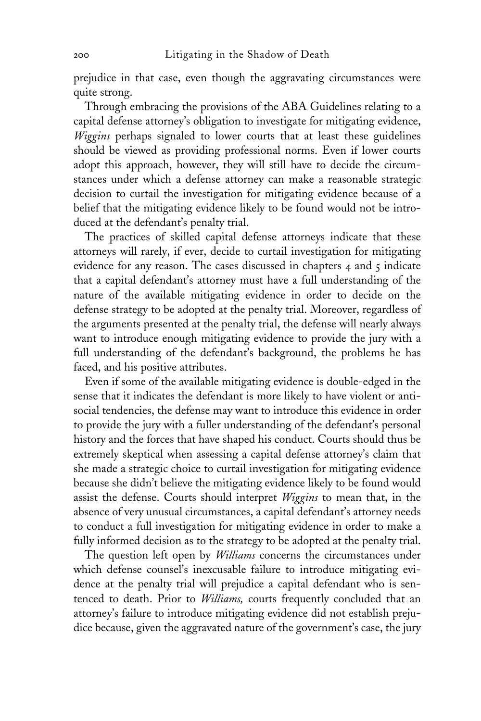prejudice in that case, even though the aggravating circumstances were quite strong.

Through embracing the provisions of the ABA Guidelines relating to a capital defense attorney's obligation to investigate for mitigating evidence, *Wiggins* perhaps signaled to lower courts that at least these guidelines should be viewed as providing professional norms. Even if lower courts adopt this approach, however, they will still have to decide the circumstances under which a defense attorney can make a reasonable strategic decision to curtail the investigation for mitigating evidence because of a belief that the mitigating evidence likely to be found would not be introduced at the defendant's penalty trial.

The practices of skilled capital defense attorneys indicate that these attorneys will rarely, if ever, decide to curtail investigation for mitigating evidence for any reason. The cases discussed in chapters 4 and 5 indicate that a capital defendant's attorney must have a full understanding of the nature of the available mitigating evidence in order to decide on the defense strategy to be adopted at the penalty trial. Moreover, regardless of the arguments presented at the penalty trial, the defense will nearly always want to introduce enough mitigating evidence to provide the jury with a full understanding of the defendant's background, the problems he has faced, and his positive attributes.

Even if some of the available mitigating evidence is double-edged in the sense that it indicates the defendant is more likely to have violent or antisocial tendencies, the defense may want to introduce this evidence in order to provide the jury with a fuller understanding of the defendant's personal history and the forces that have shaped his conduct. Courts should thus be extremely skeptical when assessing a capital defense attorney's claim that she made a strategic choice to curtail investigation for mitigating evidence because she didn't believe the mitigating evidence likely to be found would assist the defense. Courts should interpret *Wiggins* to mean that, in the absence of very unusual circumstances, a capital defendant's attorney needs to conduct a full investigation for mitigating evidence in order to make a fully informed decision as to the strategy to be adopted at the penalty trial.

The question left open by *Williams* concerns the circumstances under which defense counsel's inexcusable failure to introduce mitigating evidence at the penalty trial will prejudice a capital defendant who is sentenced to death. Prior to *Williams,* courts frequently concluded that an attorney's failure to introduce mitigating evidence did not establish prejudice because, given the aggravated nature of the government's case, the jury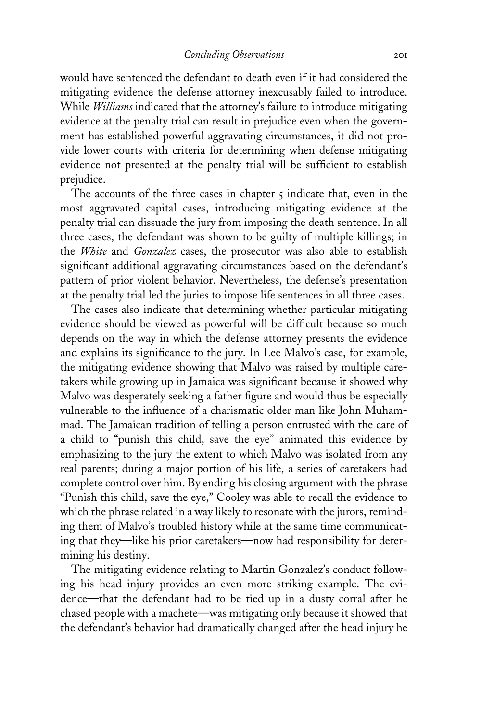would have sentenced the defendant to death even if it had considered the mitigating evidence the defense attorney inexcusably failed to introduce. While *Williams* indicated that the attorney's failure to introduce mitigating evidence at the penalty trial can result in prejudice even when the government has established powerful aggravating circumstances, it did not provide lower courts with criteria for determining when defense mitigating evidence not presented at the penalty trial will be sufficient to establish prejudice.

The accounts of the three cases in chapter 5 indicate that, even in the most aggravated capital cases, introducing mitigating evidence at the penalty trial can dissuade the jury from imposing the death sentence. In all three cases, the defendant was shown to be guilty of multiple killings; in the *White* and *Gonzalez* cases, the prosecutor was also able to establish significant additional aggravating circumstances based on the defendant's pattern of prior violent behavior. Nevertheless, the defense's presentation at the penalty trial led the juries to impose life sentences in all three cases.

The cases also indicate that determining whether particular mitigating evidence should be viewed as powerful will be difficult because so much depends on the way in which the defense attorney presents the evidence and explains its significance to the jury. In Lee Malvo's case, for example, the mitigating evidence showing that Malvo was raised by multiple caretakers while growing up in Jamaica was significant because it showed why Malvo was desperately seeking a father figure and would thus be especially vulnerable to the influence of a charismatic older man like John Muhammad. The Jamaican tradition of telling a person entrusted with the care of a child to "punish this child, save the eye" animated this evidence by emphasizing to the jury the extent to which Malvo was isolated from any real parents; during a major portion of his life, a series of caretakers had complete control over him. By ending his closing argument with the phrase "Punish this child, save the eye," Cooley was able to recall the evidence to which the phrase related in a way likely to resonate with the jurors, reminding them of Malvo's troubled history while at the same time communicating that they—like his prior caretakers—now had responsibility for determining his destiny.

The mitigating evidence relating to Martin Gonzalez's conduct following his head injury provides an even more striking example. The evidence—that the defendant had to be tied up in a dusty corral after he chased people with a machete—was mitigating only because it showed that the defendant's behavior had dramatically changed after the head injury he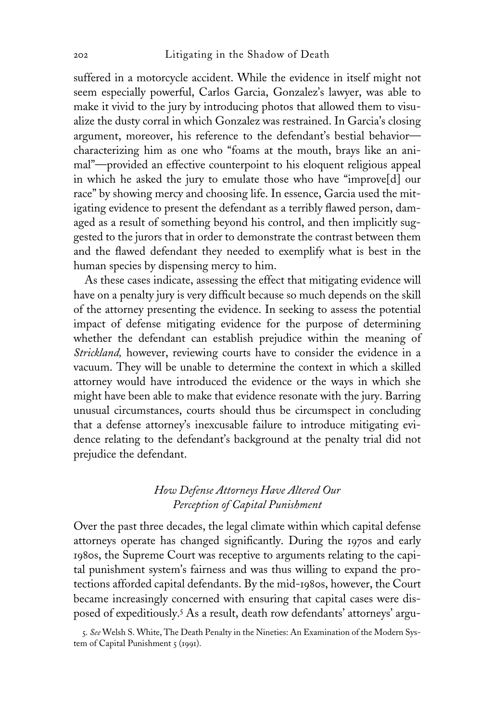suffered in a motorcycle accident. While the evidence in itself might not seem especially powerful, Carlos Garcia, Gonzalez's lawyer, was able to make it vivid to the jury by introducing photos that allowed them to visualize the dusty corral in which Gonzalez was restrained. In Garcia's closing argument, moreover, his reference to the defendant's bestial behavior characterizing him as one who "foams at the mouth, brays like an animal"—provided an effective counterpoint to his eloquent religious appeal in which he asked the jury to emulate those who have "improve[d] our race" by showing mercy and choosing life. In essence, Garcia used the mitigating evidence to present the defendant as a terribly flawed person, damaged as a result of something beyond his control, and then implicitly suggested to the jurors that in order to demonstrate the contrast between them and the flawed defendant they needed to exemplify what is best in the human species by dispensing mercy to him.

As these cases indicate, assessing the effect that mitigating evidence will have on a penalty jury is very difficult because so much depends on the skill of the attorney presenting the evidence. In seeking to assess the potential impact of defense mitigating evidence for the purpose of determining whether the defendant can establish prejudice within the meaning of *Strickland,* however, reviewing courts have to consider the evidence in a vacuum. They will be unable to determine the context in which a skilled attorney would have introduced the evidence or the ways in which she might have been able to make that evidence resonate with the jury. Barring unusual circumstances, courts should thus be circumspect in concluding that a defense attorney's inexcusable failure to introduce mitigating evidence relating to the defendant's background at the penalty trial did not prejudice the defendant.

### *How Defense Attorneys Have Altered Our Perception of Capital Punishment*

Over the past three decades, the legal climate within which capital defense attorneys operate has changed significantly. During the 1970s and early 1980s, the Supreme Court was receptive to arguments relating to the capital punishment system's fairness and was thus willing to expand the protections afforded capital defendants. By the mid-1980s, however, the Court became increasingly concerned with ensuring that capital cases were disposed of expeditiously.5 As a result, death row defendants' attorneys' argu-

5. *See* Welsh S. White, The Death Penalty in the Nineties: An Examination of the Modern System of Capital Punishment 5 (1991).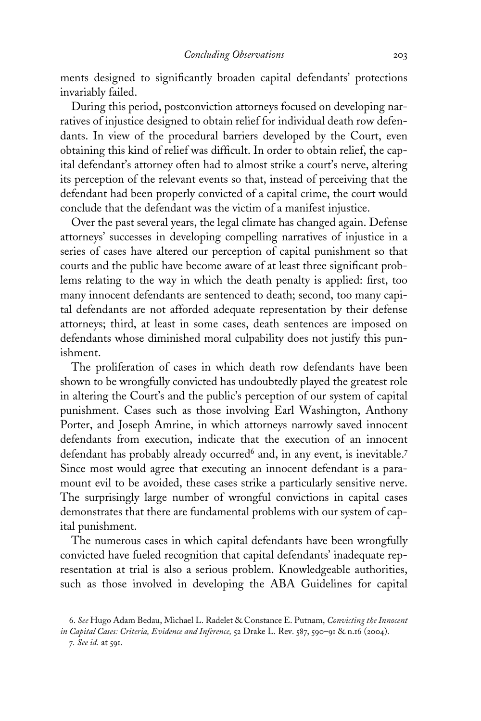ments designed to significantly broaden capital defendants' protections invariably failed.

During this period, postconviction attorneys focused on developing narratives of injustice designed to obtain relief for individual death row defendants. In view of the procedural barriers developed by the Court, even obtaining this kind of relief was difficult. In order to obtain relief, the capital defendant's attorney often had to almost strike a court's nerve, altering its perception of the relevant events so that, instead of perceiving that the defendant had been properly convicted of a capital crime, the court would conclude that the defendant was the victim of a manifest injustice.

Over the past several years, the legal climate has changed again. Defense attorneys' successes in developing compelling narratives of injustice in a series of cases have altered our perception of capital punishment so that courts and the public have become aware of at least three significant problems relating to the way in which the death penalty is applied: first, too many innocent defendants are sentenced to death; second, too many capital defendants are not afforded adequate representation by their defense attorneys; third, at least in some cases, death sentences are imposed on defendants whose diminished moral culpability does not justify this punishment.

The proliferation of cases in which death row defendants have been shown to be wrongfully convicted has undoubtedly played the greatest role in altering the Court's and the public's perception of our system of capital punishment. Cases such as those involving Earl Washington, Anthony Porter, and Joseph Amrine, in which attorneys narrowly saved innocent defendants from execution, indicate that the execution of an innocent defendant has probably already occurred<sup>6</sup> and, in any event, is inevitable.<sup>7</sup> Since most would agree that executing an innocent defendant is a paramount evil to be avoided, these cases strike a particularly sensitive nerve. The surprisingly large number of wrongful convictions in capital cases demonstrates that there are fundamental problems with our system of capital punishment.

The numerous cases in which capital defendants have been wrongfully convicted have fueled recognition that capital defendants' inadequate representation at trial is also a serious problem. Knowledgeable authorities, such as those involved in developing the ABA Guidelines for capital

<sup>6.</sup> *See* Hugo Adam Bedau, Michael L. Radelet & Constance E. Putnam, *Convicting the Innocent in Capital Cases: Criteria, Evidence and Inference,* 52 Drake L. Rev. 587, 590–91 & n.16 (2004).

<sup>7.</sup> *See id.* at 591.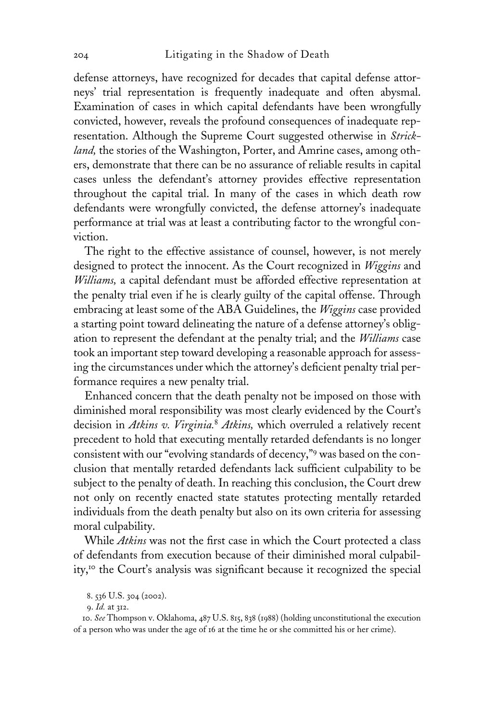defense attorneys, have recognized for decades that capital defense attorneys' trial representation is frequently inadequate and often abysmal. Examination of cases in which capital defendants have been wrongfully convicted, however, reveals the profound consequences of inadequate representation. Although the Supreme Court suggested otherwise in *Strickland,* the stories of the Washington, Porter, and Amrine cases, among others, demonstrate that there can be no assurance of reliable results in capital cases unless the defendant's attorney provides effective representation throughout the capital trial. In many of the cases in which death row defendants were wrongfully convicted, the defense attorney's inadequate performance at trial was at least a contributing factor to the wrongful conviction.

The right to the effective assistance of counsel, however, is not merely designed to protect the innocent. As the Court recognized in *Wiggins* and *Williams,* a capital defendant must be afforded effective representation at the penalty trial even if he is clearly guilty of the capital offense. Through embracing at least some of the ABA Guidelines, the *Wiggins* case provided a starting point toward delineating the nature of a defense attorney's obligation to represent the defendant at the penalty trial; and the *Williams* case took an important step toward developing a reasonable approach for assessing the circumstances under which the attorney's deficient penalty trial performance requires a new penalty trial.

Enhanced concern that the death penalty not be imposed on those with diminished moral responsibility was most clearly evidenced by the Court's decision in *Atkins v. Virginia.*<sup>8</sup> *Atkins,* which overruled a relatively recent precedent to hold that executing mentally retarded defendants is no longer consistent with our "evolving standards of decency,"9 was based on the conclusion that mentally retarded defendants lack sufficient culpability to be subject to the penalty of death. In reaching this conclusion, the Court drew not only on recently enacted state statutes protecting mentally retarded individuals from the death penalty but also on its own criteria for assessing moral culpability.

While *Atkins* was not the first case in which the Court protected a class of defendants from execution because of their diminished moral culpability,<sup>10</sup> the Court's analysis was significant because it recognized the special

<sup>8. 536</sup> U.S. 304 (2002).

<sup>9.</sup> *Id.* at 312.

<sup>10.</sup> *See* Thompson v. Oklahoma, 487 U.S. 815, 838 (1988) (holding unconstitutional the execution of a person who was under the age of 16 at the time he or she committed his or her crime).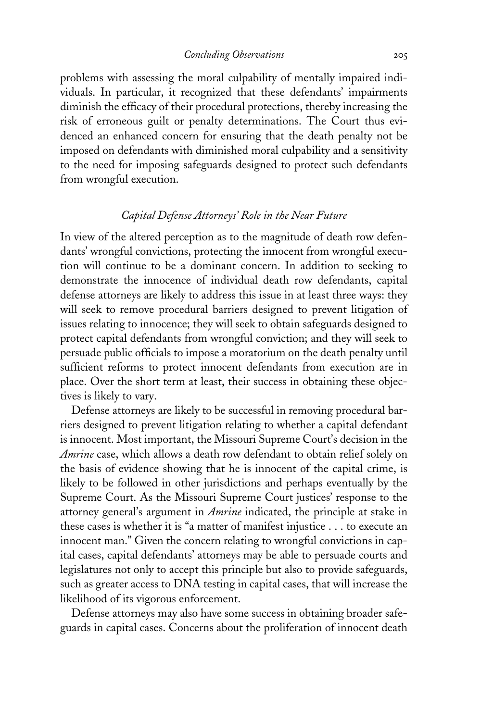problems with assessing the moral culpability of mentally impaired individuals. In particular, it recognized that these defendants' impairments diminish the efficacy of their procedural protections, thereby increasing the risk of erroneous guilt or penalty determinations. The Court thus evidenced an enhanced concern for ensuring that the death penalty not be imposed on defendants with diminished moral culpability and a sensitivity to the need for imposing safeguards designed to protect such defendants from wrongful execution.

#### *Capital Defense Attorneys' Role in the Near Future*

In view of the altered perception as to the magnitude of death row defendants' wrongful convictions, protecting the innocent from wrongful execution will continue to be a dominant concern. In addition to seeking to demonstrate the innocence of individual death row defendants, capital defense attorneys are likely to address this issue in at least three ways: they will seek to remove procedural barriers designed to prevent litigation of issues relating to innocence; they will seek to obtain safeguards designed to protect capital defendants from wrongful conviction; and they will seek to persuade public officials to impose a moratorium on the death penalty until sufficient reforms to protect innocent defendants from execution are in place. Over the short term at least, their success in obtaining these objectives is likely to vary.

Defense attorneys are likely to be successful in removing procedural barriers designed to prevent litigation relating to whether a capital defendant is innocent. Most important, the Missouri Supreme Court's decision in the *Amrine* case, which allows a death row defendant to obtain relief solely on the basis of evidence showing that he is innocent of the capital crime, is likely to be followed in other jurisdictions and perhaps eventually by the Supreme Court. As the Missouri Supreme Court justices' response to the attorney general's argument in *Amrine* indicated, the principle at stake in these cases is whether it is "a matter of manifest injustice . . . to execute an innocent man." Given the concern relating to wrongful convictions in capital cases, capital defendants' attorneys may be able to persuade courts and legislatures not only to accept this principle but also to provide safeguards, such as greater access to DNA testing in capital cases, that will increase the likelihood of its vigorous enforcement.

Defense attorneys may also have some success in obtaining broader safeguards in capital cases. Concerns about the proliferation of innocent death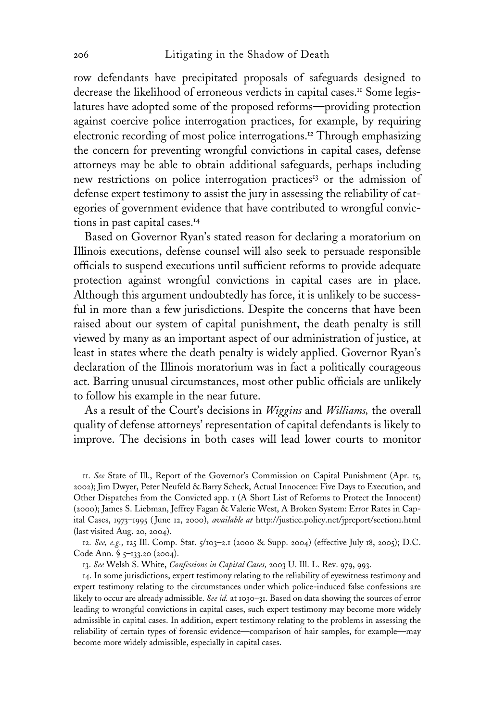row defendants have precipitated proposals of safeguards designed to decrease the likelihood of erroneous verdicts in capital cases.<sup>11</sup> Some legislatures have adopted some of the proposed reforms—providing protection against coercive police interrogation practices, for example, by requiring electronic recording of most police interrogations.<sup>12</sup> Through emphasizing the concern for preventing wrongful convictions in capital cases, defense attorneys may be able to obtain additional safeguards, perhaps including new restrictions on police interrogation practices<sup>13</sup> or the admission of defense expert testimony to assist the jury in assessing the reliability of categories of government evidence that have contributed to wrongful convictions in past capital cases.<sup>14</sup>

Based on Governor Ryan's stated reason for declaring a moratorium on Illinois executions, defense counsel will also seek to persuade responsible officials to suspend executions until sufficient reforms to provide adequate protection against wrongful convictions in capital cases are in place. Although this argument undoubtedly has force, it is unlikely to be successful in more than a few jurisdictions. Despite the concerns that have been raised about our system of capital punishment, the death penalty is still viewed by many as an important aspect of our administration of justice, at least in states where the death penalty is widely applied. Governor Ryan's declaration of the Illinois moratorium was in fact a politically courageous act. Barring unusual circumstances, most other public officials are unlikely to follow his example in the near future.

As a result of the Court's decisions in *Wiggins* and *Williams,* the overall quality of defense attorneys' representation of capital defendants is likely to improve. The decisions in both cases will lead lower courts to monitor

11. *See* State of Ill., Report of the Governor's Commission on Capital Punishment (Apr. 15, 2002); Jim Dwyer, Peter Neufeld & Barry Scheck, Actual Innocence: Five Days to Execution, and Other Dispatches from the Convicted app. 1 (A Short List of Reforms to Protect the Innocent) (2000); James S. Liebman, Jeffrey Fagan & Valerie West, A Broken System: Error Rates in Capital Cases, 1973–1995 ( June 12, 2000), *available at* http://justice.policy.net/jpreport/section1.html (last visited Aug. 20, 2004).

12. *See, e.g.,* 125 Ill. Comp. Stat. 5/103–2.1 (2000 & Supp. 2004) (effective July 18, 2005); D.C. Code Ann. § 5–133.20 (2004).

13. *See* Welsh S. White, *Confessions in Capital Cases,* 2003 U. Ill. L. Rev. 979, 993.

14. In some jurisdictions, expert testimony relating to the reliability of eyewitness testimony and expert testimony relating to the circumstances under which police-induced false confessions are likely to occur are already admissible. *See id.* at 1030–31. Based on data showing the sources of error leading to wrongful convictions in capital cases, such expert testimony may become more widely admissible in capital cases. In addition, expert testimony relating to the problems in assessing the reliability of certain types of forensic evidence—comparison of hair samples, for example—may become more widely admissible, especially in capital cases.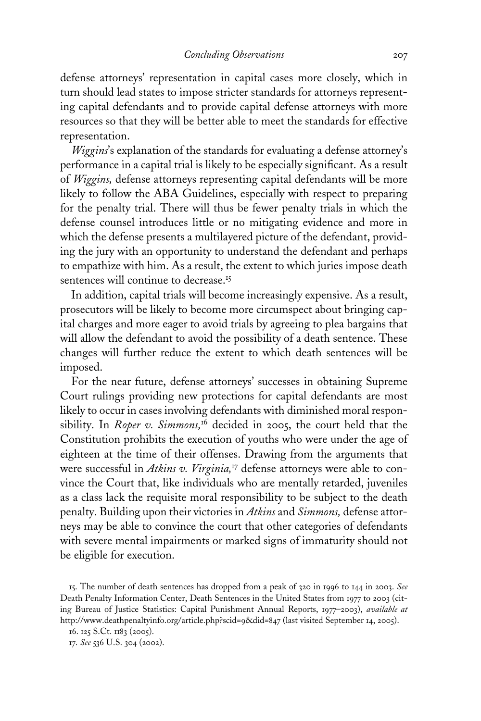defense attorneys' representation in capital cases more closely, which in turn should lead states to impose stricter standards for attorneys representing capital defendants and to provide capital defense attorneys with more resources so that they will be better able to meet the standards for effective representation.

*Wiggins*'s explanation of the standards for evaluating a defense attorney's performance in a capital trial is likely to be especially significant. As a result of *Wiggins,* defense attorneys representing capital defendants will be more likely to follow the ABA Guidelines, especially with respect to preparing for the penalty trial. There will thus be fewer penalty trials in which the defense counsel introduces little or no mitigating evidence and more in which the defense presents a multilayered picture of the defendant, providing the jury with an opportunity to understand the defendant and perhaps to empathize with him. As a result, the extent to which juries impose death sentences will continue to decrease.<sup>15</sup>

In addition, capital trials will become increasingly expensive. As a result, prosecutors will be likely to become more circumspect about bringing capital charges and more eager to avoid trials by agreeing to plea bargains that will allow the defendant to avoid the possibility of a death sentence. These changes will further reduce the extent to which death sentences will be imposed.

For the near future, defense attorneys' successes in obtaining Supreme Court rulings providing new protections for capital defendants are most likely to occur in cases involving defendants with diminished moral responsibility. In *Roper v. Simmons,*<sup>16</sup> decided in 2005, the court held that the Constitution prohibits the execution of youths who were under the age of eighteen at the time of their offenses. Drawing from the arguments that were successful in *Atkins v. Virginia*,<sup>17</sup> defense attorneys were able to convince the Court that, like individuals who are mentally retarded, juveniles as a class lack the requisite moral responsibility to be subject to the death penalty. Building upon their victories in *Atkins* and *Simmons,* defense attorneys may be able to convince the court that other categories of defendants with severe mental impairments or marked signs of immaturity should not be eligible for execution.

15. The number of death sentences has dropped from a peak of 320 in 1996 to 144 in 2003. *See* Death Penalty Information Center, Death Sentences in the United States from 1977 to 2003 (citing Bureau of Justice Statistics: Capital Punishment Annual Reports, 1977–2003), *available at* http://www.deathpenaltyinfo.org/article.php?scid=9&did=847 (last visited September 14, 2005).

16. 125 S.Ct. 1183 (2005).

17. *See* 536 U.S. 304 (2002).